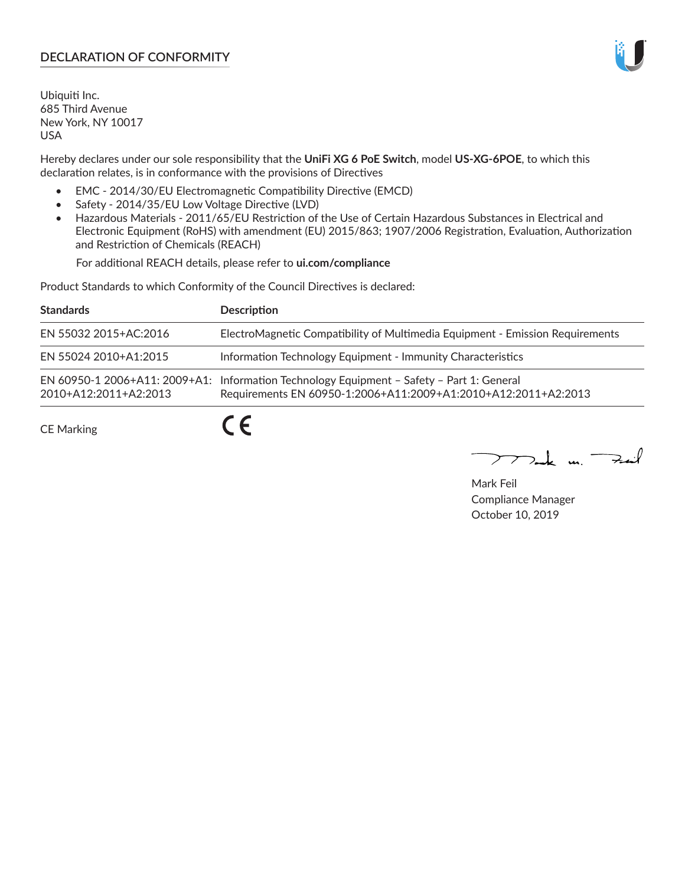# **DECLARATION OF CONFORMITY**

Ubiquiti Inc. 685 Third Avenue New York, NY 10017 USA

Hereby declares under our sole responsibility that the **UniFi XG 6 PoE Switch**, model **US-XG-6POE**, to which this declaration relates, is in conformance with the provisions of Directives

- EMC 2014/30/EU Electromagnetic Compatibility Directive (EMCD)
- Safety 2014/35/EU Low Voltage Directive (LVD)
- Hazardous Materials 2011/65/EU Restriction of the Use of Certain Hazardous Substances in Electrical and Electronic Equipment (RoHS) with amendment (EU) 2015/863; 1907/2006 Registration, Evaluation, Authorization and Restriction of Chemicals (REACH)

For additional REACH details, please refer to **ui.com/compliance**

Product Standards to which Conformity of the Council Directives is declared:

| <b>Standards</b>      | <b>Description</b>                                                                                                                                          |
|-----------------------|-------------------------------------------------------------------------------------------------------------------------------------------------------------|
| EN 55032 2015+AC:2016 | ElectroMagnetic Compatibility of Multimedia Equipment - Emission Requirements                                                                               |
| EN 55024 2010+A1:2015 | Information Technology Equipment - Immunity Characteristics                                                                                                 |
| 2010+A12:2011+A2:2013 | EN 60950-1 2006+A11: 2009+A1: Information Technology Equipment - Safety - Part 1: General<br>Requirements EN 60950-1:2006+A11:2009+A1:2010+A12:2011+A2:2013 |
| <b>CE Marking</b>     |                                                                                                                                                             |

Mak m. Fuil

Mark Feil Compliance Manager October 10, 2019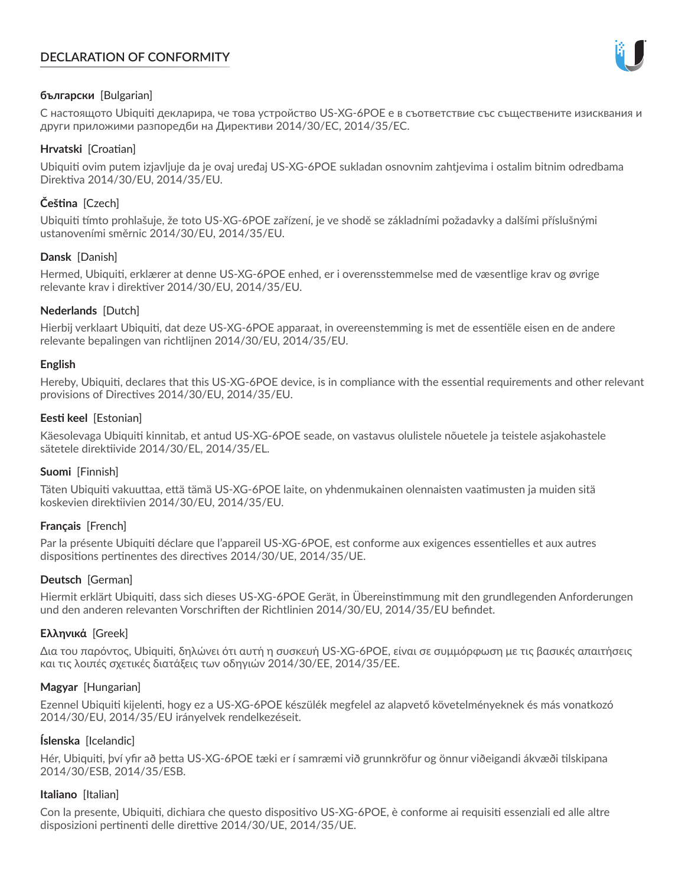# **DECLARATION OF CONFORMITY**



### **български** [Bulgarian]

С настоящото Ubiquiti декларира, че това устройство US-XG-6POE е в съответствие със съществените изисквания и други приложими разпоредби на Директиви 2014/30/ЕС, 2014/35/ЕС.

### **Hrvatski** [Croatian]

Ubiquiti ovim putem izjavljuje da je ovaj uređaj US-XG-6POE sukladan osnovnim zahtjevima i ostalim bitnim odredbama Direktiva 2014/30/EU, 2014/35/EU.

# **Čeština** [Czech]

Ubiquiti tímto prohlašuje, že toto US-XG-6POE zařízení, je ve shodě se základními požadavky a dalšími příslušnými ustanoveními směrnic 2014/30/EU, 2014/35/EU.

## **Dansk** [Danish]

Hermed, Ubiquiti, erklærer at denne US-XG-6POE enhed, er i overensstemmelse med de væsentlige krav og øvrige relevante krav i direktiver 2014/30/EU, 2014/35/EU.

## **Nederlands** [Dutch]

Hierbij verklaart Ubiquiti, dat deze US-XG-6POE apparaat, in overeenstemming is met de essentiële eisen en de andere relevante bepalingen van richtlijnen 2014/30/EU, 2014/35/EU.

### **English**

Hereby, Ubiquiti, declares that this US-XG-6POE device, is in compliance with the essential requirements and other relevant provisions of Directives 2014/30/EU, 2014/35/EU.

## **Eesti keel** [Estonian]

Käesolevaga Ubiquiti kinnitab, et antud US-XG-6POE seade, on vastavus olulistele nõuetele ja teistele asjakohastele sätetele direktiivide 2014/30/EL, 2014/35/EL.

### **Suomi** [Finnish]

Täten Ubiquiti vakuuttaa, että tämä US-XG-6POE laite, on yhdenmukainen olennaisten vaatimusten ja muiden sitä koskevien direktiivien 2014/30/EU, 2014/35/EU.

### **Français** [French]

Par la présente Ubiquiti déclare que l'appareil US-XG-6POE, est conforme aux exigences essentielles et aux autres dispositions pertinentes des directives 2014/30/UE, 2014/35/UE.

## **Deutsch** [German]

Hiermit erklärt Ubiquiti, dass sich dieses US-XG-6POE Gerät, in Übereinstimmung mit den grundlegenden Anforderungen und den anderen relevanten Vorschriften der Richtlinien 2014/30/EU, 2014/35/EU befindet.

### **Ελληνικά** [Greek]

Δια του παρόντος, Ubiquiti, δηλώνει ότι αυτή η συσκευή US-XG-6POE, είναι σε συμμόρφωση με τις βασικές απαιτήσεις και τις λοιπές σχετικές διατάξεις των οδηγιών 2014/30/EE, 2014/35/EE.

### **Magyar** [Hungarian]

Ezennel Ubiquiti kijelenti, hogy ez a US-XG-6POE készülék megfelel az alapvető követelményeknek és más vonatkozó 2014/30/EU, 2014/35/EU irányelvek rendelkezéseit.

### **Íslenska** [Icelandic]

Hér, Ubiquiti, því yfir að þetta US-XG-6POE tæki er í samræmi við grunnkröfur og önnur viðeigandi ákvæði tilskipana 2014/30/ESB, 2014/35/ESB.

### **Italiano** [Italian]

Con la presente, Ubiquiti, dichiara che questo dispositivo US-XG-6POE, è conforme ai requisiti essenziali ed alle altre disposizioni pertinenti delle direttive 2014/30/UE, 2014/35/UE.